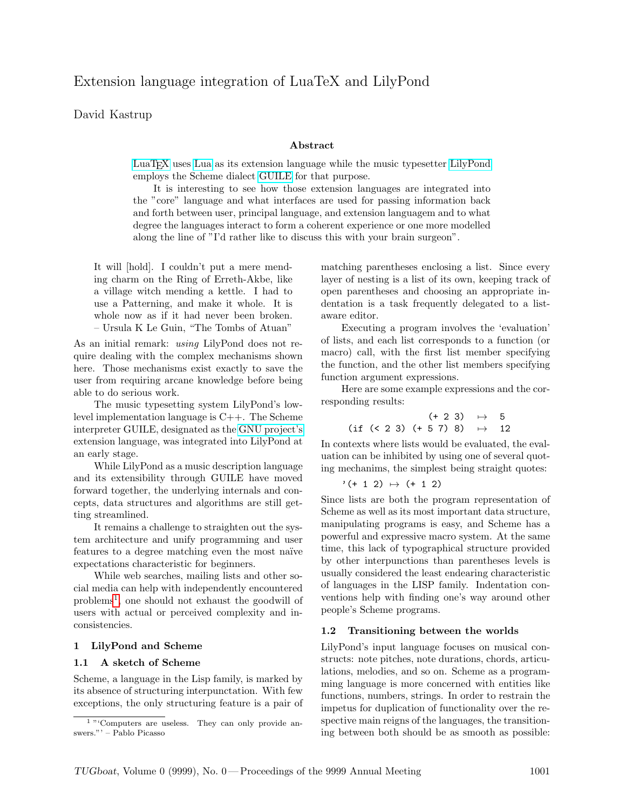# David Kastrup

### Abstract

[LuaTEX](http://www.luatex.org) uses [Lua](http://www.lua.org) as its extension language while the music typesetter [LilyPond](http://www.lilypond.org) employs the Scheme dialect [GUILE](http://www.gnu.org/software/guile) for that purpose.

It is interesting to see how those extension languages are integrated into the "core" language and what interfaces are used for passing information back and forth between user, principal language, and extension languagem and to what degree the languages interact to form a coherent experience or one more modelled along the line of "I'd rather like to discuss this with your brain surgeon".

It will [hold]. I couldn't put a mere mending charm on the Ring of Erreth-Akbe, like a village witch mending a kettle. I had to use a Patterning, and make it whole. It is whole now as if it had never been broken. – Ursula K Le Guin, "The Tombs of Atuan"

As an initial remark: using LilyPond does not require dealing with the complex mechanisms shown here. Those mechanisms exist exactly to save the user from requiring arcane knowledge before being able to do serious work.

The music typesetting system LilyPond's lowlevel implementation language is C++. The Scheme interpreter GUILE, designated as the [GNU project's](http://www.gnu.org) extension language, was integrated into LilyPond at an early stage.

While LilyPond as a music description language and its extensibility through GUILE have moved forward together, the underlying internals and concepts, data structures and algorithms are still getting streamlined.

It remains a challenge to straighten out the system architecture and unify programming and user features to a degree matching even the most naïve expectations characteristic for beginners.

While web searches, mailing lists and other social media can help with independently encountered problems[1](#page-0-0) , one should not exhaust the goodwill of users with actual or perceived complexity and inconsistencies.

## 1 LilyPond and Scheme

#### 1.1 A sketch of Scheme

Scheme, a language in the Lisp family, is marked by its absence of structuring interpunctation. With few exceptions, the only structuring feature is a pair of

matching parentheses enclosing a list. Since every layer of nesting is a list of its own, keeping track of open parentheses and choosing an appropriate indentation is a task frequently delegated to a listaware editor.

Executing a program involves the 'evaluation' of lists, and each list corresponds to a function (or macro) call, with the first list member specifying the function, and the other list members specifying function argument expressions.

Here are some example expressions and the corresponding results:

$$
(+ 2 3) \rightarrow 5
$$
  
(if (< 2 3) (+ 5 7) 8)  $\rightarrow$  12

In contexts where lists would be evaluated, the evaluation can be inhibited by using one of several quoting mechanims, the simplest being straight quotes:

$$
'(+ 1 2) \mapsto (+ 1 2)
$$

Since lists are both the program representation of Scheme as well as its most important data structure, manipulating programs is easy, and Scheme has a powerful and expressive macro system. At the same time, this lack of typographical structure provided by other interpunctions than parentheses levels is usually considered the least endearing characteristic of languages in the LISP family. Indentation conventions help with finding one's way around other people's Scheme programs.

#### 1.2 Transitioning between the worlds

LilyPond's input language focuses on musical constructs: note pitches, note durations, chords, articulations, melodies, and so on. Scheme as a programming language is more concerned with entities like functions, numbers, strings. In order to restrain the impetus for duplication of functionality over the respective main reigns of the languages, the transitioning between both should be as smooth as possible:

<span id="page-0-0"></span><sup>&</sup>lt;sup>1</sup> "'Computers are useless. They can only provide answers."' – Pablo Picasso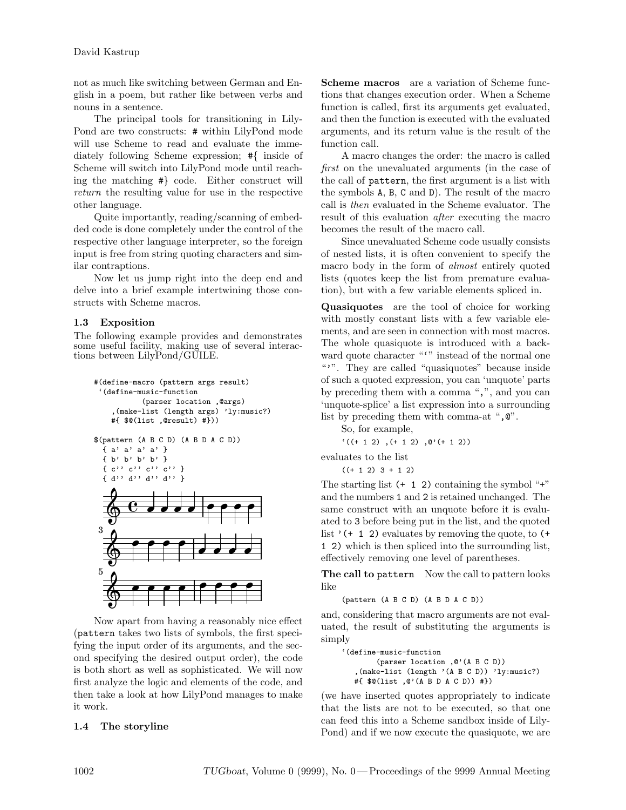not as much like switching between German and English in a poem, but rather like between verbs and nouns in a sentence.

The principal tools for transitioning in Lily-Pond are two constructs: # within LilyPond mode will use Scheme to read and evaluate the immediately following Scheme expression; #{ inside of Scheme will switch into LilyPond mode until reaching the matching #} code. Either construct will return the resulting value for use in the respective other language.

Quite importantly, reading/scanning of embedded code is done completely under the control of the respective other language interpreter, so the foreign input is free from string quoting characters and similar contraptions.

Now let us jump right into the deep end and delve into a brief example intertwining those constructs with Scheme macros.

# 1.3 Exposition

The following example provides and demonstrates some useful facility, making use of several interactions between LilyPond/GUILE.

```
#(define-macro (pattern args result)
   '(define-music-function
                                  (parser location ,@args)
             ,(make-list (length args) 'ly:music?)
            #{ $@(list ,@result) #}))
$(pattern (A B C D) (A B D A C D))
      { a' a' a' a' }
      { b' b' b' b' }
      \left\{ \begin{array}{ll} c\cdot\text{,}\ c\cdot\text{,}\ c\cdot\text{,}\ c\cdot\text{,}\ c\cdot\text{,}\ t\cdot\text{,}\ d\cdot\text{,}\ d\cdot\text{,}\ t\cdot\text{,}\ t\cdot\text{,}\ d\cdot\text{,}\ t\cdot\text{,}\ t\cdot\text{,}\ t\cdot\text{,}\ t\cdot\text{,}\ t\cdot\text{,}\ t\cdot\text{,}\ t\cdot\text{,}\ t\cdot\text{,}\ t\cdot\text{,}\ t\cdot\text{,}\ t\cdot\text{,}\ t\cdot\text{,}\ t\cdot\text{,}\ t\cdot\text{,}\ t\cdot\text{,}\ t{ d'' d'' d'' d'' }
          \Phi\overline{c} and a pop
                                                                            \overline{\phantom{a}}\overline{\epsilon}\overline{\phantom{0}}\overline{\mathbf{e}}\Phi3
                                       \overline{\epsilon}\overline{\phantom{a}}\overline{\bullet}& f
                                        \overline{\phantom{0}} \overline{\phantom{0}} \overline{\phantom{0}} \overline{\phantom{0}} \overline{\phantom{0}}5
                                                                                        \overline{\mathcal{P} \mathcal{P} \mathcal{P}}
```
Now apart from having a reasonably nice effect (pattern takes two lists of symbols, the first specifying the input order of its arguments, and the second specifying the desired output order), the code is both short as well as sophisticated. We will now first analyze the logic and elements of the code, and then take a look at how LilyPond manages to make it work.

# 1.4 The storyline

Scheme macros are a variation of Scheme functions that changes execution order. When a Scheme function is called, first its arguments get evaluated, and then the function is executed with the evaluated arguments, and its return value is the result of the function call.

A macro changes the order: the macro is called first on the unevaluated arguments (in the case of the call of pattern, the first argument is a list with the symbols A, B, C and D). The result of the macro call is then evaluated in the Scheme evaluator. The result of this evaluation after executing the macro becomes the result of the macro call.

Since unevaluated Scheme code usually consists of nested lists, it is often convenient to specify the macro body in the form of *almost* entirely quoted lists (quotes keep the list from premature evaluation), but with a few variable elements spliced in.

Quasiquotes are the tool of choice for working with mostly constant lists with a few variable elements, and are seen in connection with most macros. The whole quasiquote is introduced with a backward quote character "" instead of the normal one "". They are called "quasiquotes" because inside of such a quoted expression, you can 'unquote' parts by preceding them with a comma ",", and you can 'unquote-splice' a list expression into a surrounding list by preceding them with comma-at ",  $\mathbb{Q}$ ".

So, for example,

```
((+ 1 2) , (+ 1 2) , (0)
```
evaluates to the list

 $((+ 1 2) 3 + 1 2)$ 

The starting list  $(+ 1 2)$  containing the symbol "+" and the numbers 1 and 2 is retained unchanged. The same construct with an unquote before it is evaluated to 3 before being put in the list, and the quoted list  $'(+ 1 2)$  evaluates by removing the quote, to  $(+)$ 1 2) which is then spliced into the surrounding list, effectively removing one level of parentheses.

The call to pattern Now the call to pattern looks like

(pattern (A B C D) (A B D A C D))

and, considering that macro arguments are not evaluated, the result of substituting the arguments is simply

'(define-music-function (parser location ,@'(A B C D)) ,(make-list (length '(A B C D)) 'ly:music?) #{ \$@(list ,@'(A B D A C D)) #})

(we have inserted quotes appropriately to indicate that the lists are not to be executed, so that one can feed this into a Scheme sandbox inside of Lily-Pond) and if we now execute the quasiquote, we are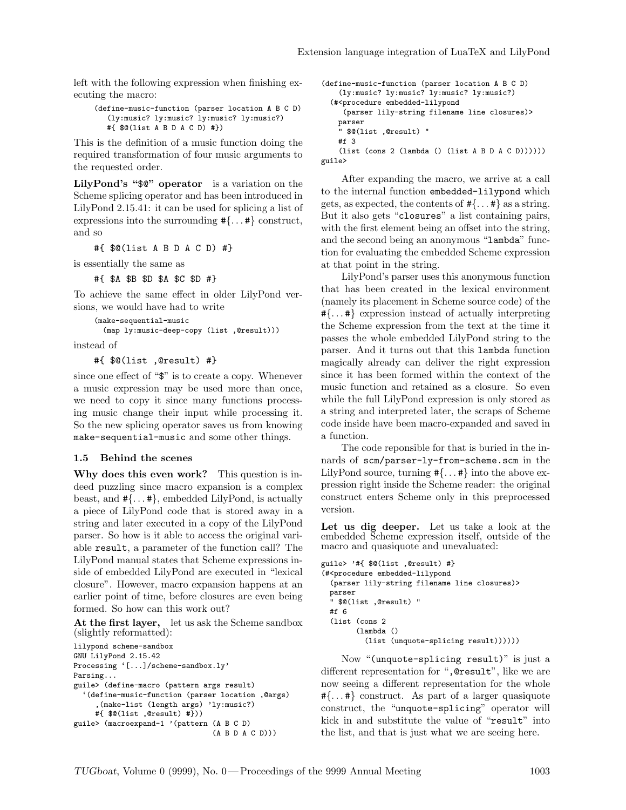left with the following expression when finishing executing the macro:

```
(define-music-function (parser location A B C D)
   (ly:music? ly:music? ly:music? ly:music?)
   #{ $@(list A B D A C D) #})
```
This is the definition of a music function doing the required transformation of four music arguments to the requested order.

LilyPond's "\$@" operator is a variation on the Scheme splicing operator and has been introduced in LilyPond 2.15.41: it can be used for splicing a list of expressions into the surrounding #{. . . #} construct, and so

#{ \$@(list A B D A C D) #}

is essentially the same as

#{ \$A \$B \$D \$A \$C \$D #}

To achieve the same effect in older LilyPond versions, we would have had to write

```
(make-sequential-music
 (map ly:music-deep-copy (list ,@result)))
```
instead of

#{ \$@(list ,@result) #}

since one effect of "\$" is to create a copy. Whenever a music expression may be used more than once, we need to copy it since many functions processing music change their input while processing it. So the new splicing operator saves us from knowing make-sequential-music and some other things.

#### 1.5 Behind the scenes

Why does this even work? This question is indeed puzzling since macro expansion is a complex beast, and  $\#\{\ldots\#\}$ , embedded LilyPond, is actually a piece of LilyPond code that is stored away in a string and later executed in a copy of the LilyPond parser. So how is it able to access the original variable result, a parameter of the function call? The LilyPond manual states that Scheme expressions inside of embedded LilyPond are executed in "lexical closure". However, macro expansion happens at an earlier point of time, before closures are even being formed. So how can this work out?

At the first layer, let us ask the Scheme sandbox (slightly reformatted):

```
lilypond scheme-sandbox
GNU LilyPond 2.15.42
Processing '[...]/scheme-sandbox.ly'
Parsing...
guile> (define-macro (pattern args result)
  '(define-music-function (parser location ,@args)
     ,(make-list (length args) 'ly:music?)
     #{ $@(list ,@result) #}))
guile> (macroexpand-1 '(pattern (A B C D)
                                (A B D A C D)))
```

```
(define-music-function (parser location A B C D)
    (ly:music? ly:music? ly:music? ly:music?)
  (#<procedure embedded-lilypond
     (parser lily-string filename line closures)>
   parser
    " $@(list ,@result) "
   #f 3
    (list (cons 2 (lambda () (list A B D A C D))))))
guile>
```
After expanding the macro, we arrive at a call to the internal function embedded-lilypond which gets, as expected, the contents of  $\#\{\ldots\#\}$  as a string. But it also gets "closures" a list containing pairs, with the first element being an offset into the string, and the second being an anonymous "lambda" function for evaluating the embedded Scheme expression at that point in the string.

LilyPond's parser uses this anonymous function that has been created in the lexical environment (namely its placement in Scheme source code) of the #{. . . #} expression instead of actually interpreting the Scheme expression from the text at the time it passes the whole embedded LilyPond string to the parser. And it turns out that this lambda function magically already can deliver the right expression since it has been formed within the context of the music function and retained as a closure. So even while the full LilyPond expression is only stored as a string and interpreted later, the scraps of Scheme code inside have been macro-expanded and saved in a function.

The code reponsible for that is buried in the innards of scm/parser-ly-from-scheme.scm in the LilyPond source, turning  $\#\{\dots\#\}$  into the above expression right inside the Scheme reader: the original construct enters Scheme only in this preprocessed version.

Let us dig deeper. Let us take a look at the embedded Scheme expression itself, outside of the macro and quasiquote and unevaluated:

```
guile> '#{ $@(list ,@result) #}
(#<procedure embedded-lilypond
  (parser lily-string filename line closures)>
 parser
  " $@(list ,@result) "
  #f 6
  (list (cons 2
        (lambda ()
          (list (unquote-splicing result))))))
```
Now "(unquote-splicing result)" is just a different representation for ",@result", like we are now seeing a different representation for the whole  $\{\ldots, *\}$  construct. As part of a larger quasiquote construct, the "unquote-splicing" operator will kick in and substitute the value of "result" into the list, and that is just what we are seeing here.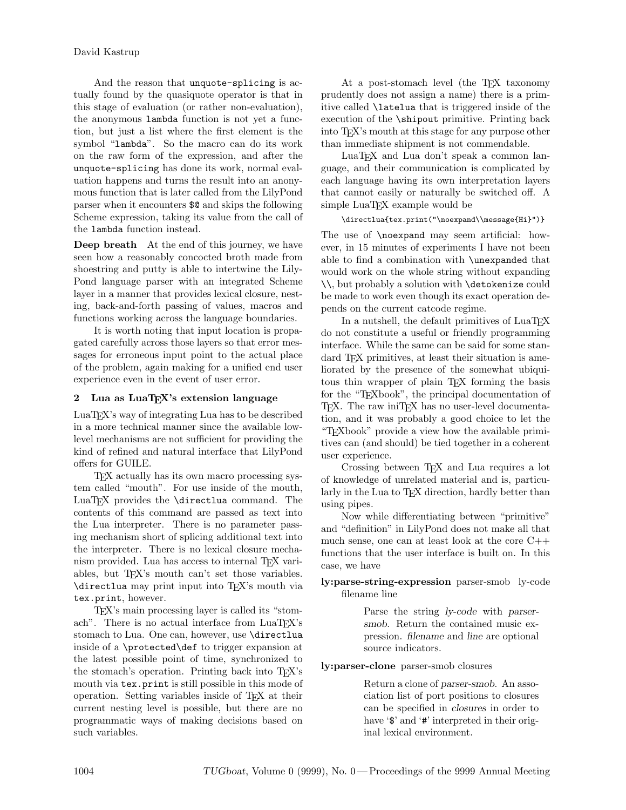And the reason that unquote-splicing is actually found by the quasiquote operator is that in this stage of evaluation (or rather non-evaluation), the anonymous lambda function is not yet a function, but just a list where the first element is the symbol "lambda". So the macro can do its work on the raw form of the expression, and after the unquote-splicing has done its work, normal evaluation happens and turns the result into an anonymous function that is later called from the LilyPond parser when it encounters \$@ and skips the following Scheme expression, taking its value from the call of the lambda function instead.

Deep breath At the end of this journey, we have seen how a reasonably concocted broth made from shoestring and putty is able to intertwine the Lily-Pond language parser with an integrated Scheme layer in a manner that provides lexical closure, nesting, back-and-forth passing of values, macros and functions working across the language boundaries.

It is worth noting that input location is propagated carefully across those layers so that error messages for erroneous input point to the actual place of the problem, again making for a unified end user experience even in the event of user error.

# 2 Lua as LuaTEX's extension language

LuaTEX's way of integrating Lua has to be described in a more technical manner since the available lowlevel mechanisms are not sufficient for providing the kind of refined and natural interface that LilyPond offers for GUILE.

TEX actually has its own macro processing system called "mouth". For use inside of the mouth, LuaTEX provides the \directlua command. The contents of this command are passed as text into the Lua interpreter. There is no parameter passing mechanism short of splicing additional text into the interpreter. There is no lexical closure mechanism provided. Lua has access to internal TEX variables, but T<sub>E</sub>X's mouth can't set those variables. \directlua may print input into TEX's mouth via tex.print, however.

TEX's main processing layer is called its "stomach". There is no actual interface from LuaT<sub>EX</sub>'s stomach to Lua. One can, however, use \directlua inside of a \protected\def to trigger expansion at the latest possible point of time, synchronized to the stomach's operation. Printing back into TEX's mouth via tex.print is still possible in this mode of operation. Setting variables inside of TEX at their current nesting level is possible, but there are no programmatic ways of making decisions based on such variables.

At a post-stomach level (the T<sub>E</sub>X taxonomy prudently does not assign a name) there is a primitive called \latelua that is triggered inside of the execution of the \shipout primitive. Printing back into TEX's mouth at this stage for any purpose other than immediate shipment is not commendable.

LuaT<sub>EX</sub> and Lua don't speak a common language, and their communication is complicated by each language having its own interpretation layers that cannot easily or naturally be switched off. A simple LuaTEX example would be

\directlua{tex.print("\noexpand\\message{Hi}")}

The use of \noexpand may seem artificial: however, in 15 minutes of experiments I have not been able to find a combination with \unexpanded that would work on the whole string without expanding \\, but probably a solution with \detokenize could be made to work even though its exact operation depends on the current catcode regime.

In a nutshell, the default primitives of  $\text{LuaT}$ <sub>F</sub>X do not constitute a useful or friendly programming interface. While the same can be said for some standard T<sub>E</sub>X primitives, at least their situation is ameliorated by the presence of the somewhat ubiquitous thin wrapper of plain TEX forming the basis for the "TEXbook", the principal documentation of T<sub>EX</sub>. The raw iniT<sub>EX</sub> has no user-level documentation, and it was probably a good choice to let the "TEXbook" provide a view how the available primitives can (and should) be tied together in a coherent user experience.

Crossing between TEX and Lua requires a lot of knowledge of unrelated material and is, particularly in the Lua to TEX direction, hardly better than using pipes.

Now while differentiating between "primitive" and "definition" in LilyPond does not make all that much sense, one can at least look at the core C++ functions that the user interface is built on. In this case, we have

# ly:parse-string-expression parser-smob ly-code filename line

Parse the string ly-code with parsersmob. Return the contained music expression. filename and line are optional source indicators.

### ly:parser-clone parser-smob closures

Return a clone of parser-smob. An association list of port positions to closures can be specified in closures in order to have ' $\mathcal{F}'$  and ' $\mathcal{H}'$  interpreted in their original lexical environment.